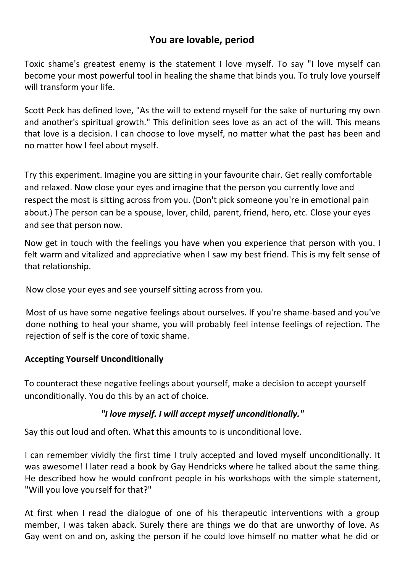## **You are lovable, period**

Toxic shame's greatest enemy is the statement I love myself. To say "I love myself can become your most powerful tool in healing the shame that binds you. To truly love yourself will transform your life.

Scott Peck has defined love, "As the will to extend myself for the sake of nurturing my own and another's spiritual growth." This definition sees love as an act of the will. This means that love is a decision. I can choose to love myself, no matter what the past has been and no matter how I feel about myself.

Try this experiment. Imagine you are sitting in your favourite chair. Get really comfortable and relaxed. Now close your eyes and imagine that the person you currently love and respect the most is sitting across from you. (Don't pick someone you're in emotional pain about.) The person can be a spouse, lover, child, parent, friend, hero, etc. Close your eyes and see that person now.

Now get in touch with the feelings you have when you experience that person with you. I felt warm and vitalized and appreciative when I saw my best friend. This is my felt sense of that relationship.

Now close your eyes and see yourself sitting across from you.

Most of us have some negative feelings about ourselves. If you're shame-based and you've done nothing to heal your shame, you will probably feel intense feelings of rejection. The rejection of self is the core of toxic shame.

## **Accepting Yourself Unconditionally**

To counteract these negative feelings about yourself, make a decision to accept yourself unconditionally. You do this by an act of choice.

## *"I love myself. I will accept myself unconditionally."*

Say this out loud and often. What this amounts to is unconditional love.

I can remember vividly the first time I truly accepted and loved myself unconditionally. It was awesome! I later read a book by Gay Hendricks where he talked about the same thing. He described how he would confront people in his workshops with the simple statement, "Will you love yourself for that?"

At first when I read the dialogue of one of his therapeutic interventions with a group member, I was taken aback. Surely there are things we do that are unworthy of love. As Gay went on and on, asking the person if he could love himself no matter what he did or